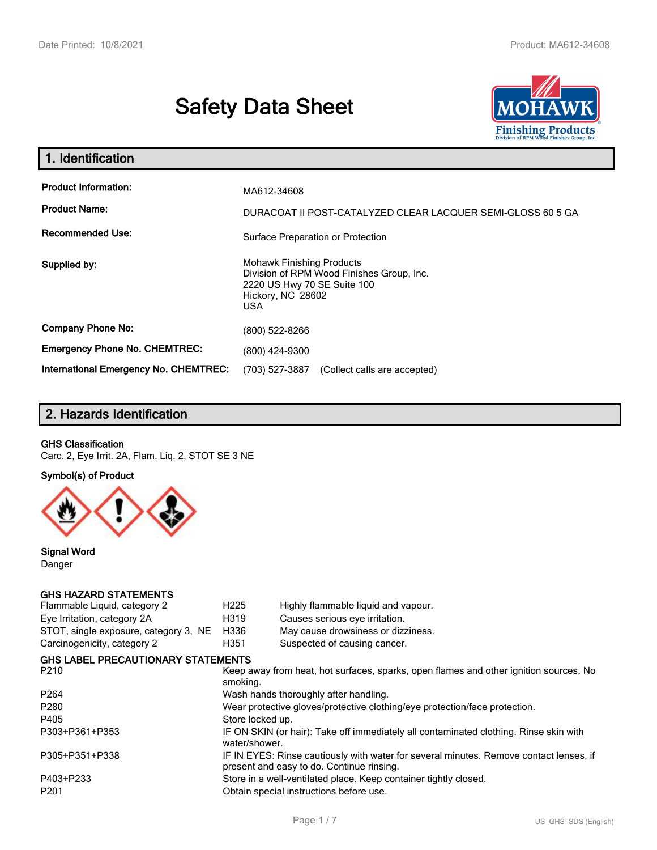# **Safety Data Sheet**



| 1. Identification                                                              |                                                                                                             |
|--------------------------------------------------------------------------------|-------------------------------------------------------------------------------------------------------------|
| <b>Product Information:</b><br><b>Product Name:</b><br><b>Recommended Use:</b> | MA612-34608<br>DURACOAT II POST-CATALYZED CLEAR LACQUER SEMI-GLOSS 60 5 GA                                  |
|                                                                                | Surface Preparation or Protection<br><b>Mohawk Finishing Products</b>                                       |
| Supplied by:                                                                   | Division of RPM Wood Finishes Group, Inc.<br>2220 US Hwy 70 SE Suite 100<br>Hickory, NC 28602<br><b>USA</b> |
| <b>Company Phone No:</b>                                                       | (800) 522-8266                                                                                              |
| <b>Emergency Phone No. CHEMTREC:</b>                                           | (800) 424-9300                                                                                              |
| International Emergency No. CHEMTREC:                                          | (703) 527-3887<br>(Collect calls are accepted)                                                              |

# **2. Hazards Identification**

### **GHS Classification**

Carc. 2, Eye Irrit. 2A, Flam. Liq. 2, STOT SE 3 NE

### **Symbol(s) of Product**



**Signal Word** Danger

# **GHS HAZARD STATEMENTS**

| Flammable Liquid, category 2              | H <sub>225</sub> | Highly flammable liquid and vapour.                                                                                                 |
|-------------------------------------------|------------------|-------------------------------------------------------------------------------------------------------------------------------------|
| Eye Irritation, category 2A               | H319             | Causes serious eye irritation.                                                                                                      |
| STOT, single exposure, category 3, NE     | H336             | May cause drowsiness or dizziness.                                                                                                  |
| Carcinogenicity, category 2               | H351             | Suspected of causing cancer.                                                                                                        |
| <b>GHS LABEL PRECAUTIONARY STATEMENTS</b> |                  |                                                                                                                                     |
| P210                                      | smoking.         | Keep away from heat, hot surfaces, sparks, open flames and other ignition sources. No                                               |
| P <sub>264</sub>                          |                  | Wash hands thoroughly after handling.                                                                                               |
| P280                                      |                  | Wear protective gloves/protective clothing/eye protection/face protection.                                                          |
| P405                                      | Store locked up. |                                                                                                                                     |
| P303+P361+P353                            | water/shower.    | IF ON SKIN (or hair): Take off immediately all contaminated clothing. Rinse skin with                                               |
| P305+P351+P338                            |                  | IF IN EYES: Rinse cautiously with water for several minutes. Remove contact lenses, if<br>present and easy to do. Continue rinsing. |
| P403+P233                                 |                  | Store in a well-ventilated place. Keep container tightly closed.                                                                    |
| P <sub>201</sub>                          |                  | Obtain special instructions before use.                                                                                             |
|                                           |                  |                                                                                                                                     |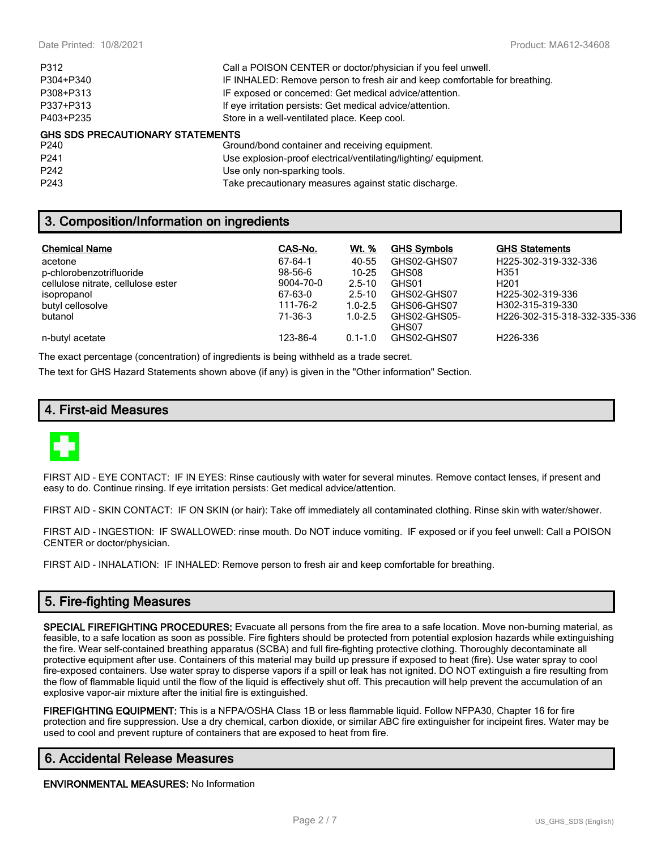| P312                                    | Call a POISON CENTER or doctor/physician if you feel unwell.               |
|-----------------------------------------|----------------------------------------------------------------------------|
| P304+P340                               | IF INHALED: Remove person to fresh air and keep comfortable for breathing. |
| P308+P313                               | IF exposed or concerned: Get medical advice/attention.                     |
| P337+P313                               | If eye irritation persists: Get medical advice/attention.                  |
| P403+P235                               | Store in a well-ventilated place. Keep cool.                               |
| <b>GHS SDS PRECAUTIONARY STATEMENTS</b> |                                                                            |
| P240                                    | Ground/bond container and receiving equipment.                             |
| P <sub>241</sub>                        | Use explosion-proof electrical/ventilating/lighting/equipment.             |
|                                         |                                                                            |

P242 Use only non-sparking tools.

P243 Take precautionary measures against static discharge.

# **3. Composition/Information on ingredients**

| <b>Chemical Name</b>               | CAS-No.   | Wt. %       | <b>GHS Symbols</b> | <b>GHS Statements</b>         |
|------------------------------------|-----------|-------------|--------------------|-------------------------------|
| acetone                            | 67-64-1   | 40-55       | GHS02-GHS07        | H225-302-319-332-336          |
| p-chlorobenzotrifluoride           | 98-56-6   | $10 - 25$   | GHS08              | H351                          |
| cellulose nitrate, cellulose ester | 9004-70-0 | $2.5 - 10$  | GHS01              | H <sub>201</sub>              |
| isopropanol                        | 67-63-0   | $2.5 - 10$  | GHS02-GHS07        | H <sub>225</sub> -302-319-336 |
| butyl cellosolve                   | 111-76-2  | $1.0 - 2.5$ | GHS06-GHS07        | H302-315-319-330              |
| butanol                            | 71-36-3   | $1.0 - 2.5$ | GHS02-GHS05-       | H226-302-315-318-332-335-336  |
|                                    |           |             | GHS07              |                               |
| n-butyl acetate                    | 123-86-4  | $0.1 - 1.0$ | GHS02-GHS07        | H226-336                      |

The exact percentage (concentration) of ingredients is being withheld as a trade secret.

The text for GHS Hazard Statements shown above (if any) is given in the "Other information" Section.

# **4. First-aid Measures**



FIRST AID - EYE CONTACT: IF IN EYES: Rinse cautiously with water for several minutes. Remove contact lenses, if present and easy to do. Continue rinsing. If eye irritation persists: Get medical advice/attention.

FIRST AID - SKIN CONTACT: IF ON SKIN (or hair): Take off immediately all contaminated clothing. Rinse skin with water/shower.

FIRST AID - INGESTION: IF SWALLOWED: rinse mouth. Do NOT induce vomiting. IF exposed or if you feel unwell: Call a POISON CENTER or doctor/physician.

FIRST AID - INHALATION: IF INHALED: Remove person to fresh air and keep comfortable for breathing.

# **5. Fire-fighting Measures**

**SPECIAL FIREFIGHTING PROCEDURES:** Evacuate all persons from the fire area to a safe location. Move non-burning material, as feasible, to a safe location as soon as possible. Fire fighters should be protected from potential explosion hazards while extinguishing the fire. Wear self-contained breathing apparatus (SCBA) and full fire-fighting protective clothing. Thoroughly decontaminate all protective equipment after use. Containers of this material may build up pressure if exposed to heat (fire). Use water spray to cool fire-exposed containers. Use water spray to disperse vapors if a spill or leak has not ignited. DO NOT extinguish a fire resulting from the flow of flammable liquid until the flow of the liquid is effectively shut off. This precaution will help prevent the accumulation of an explosive vapor-air mixture after the initial fire is extinguished.

**FIREFIGHTING EQUIPMENT:** This is a NFPA/OSHA Class 1B or less flammable liquid. Follow NFPA30, Chapter 16 for fire protection and fire suppression. Use a dry chemical, carbon dioxide, or similar ABC fire extinguisher for incipeint fires. Water may be used to cool and prevent rupture of containers that are exposed to heat from fire.

# **6. Accidental Release Measures**

**ENVIRONMENTAL MEASURES:** No Information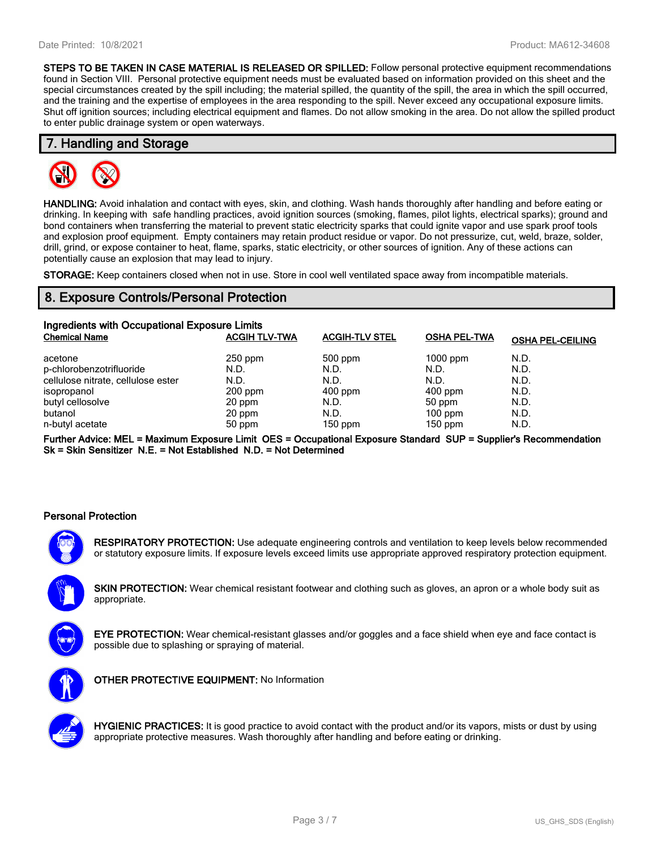**STEPS TO BE TAKEN IN CASE MATERIAL IS RELEASED OR SPILLED:** Follow personal protective equipment recommendations found in Section VIII. Personal protective equipment needs must be evaluated based on information provided on this sheet and the special circumstances created by the spill including; the material spilled, the quantity of the spill, the area in which the spill occurred, and the training and the expertise of employees in the area responding to the spill. Never exceed any occupational exposure limits. Shut off ignition sources; including electrical equipment and flames. Do not allow smoking in the area. Do not allow the spilled product to enter public drainage system or open waterways.

### **7. Handling and Storage**



**HANDLING:** Avoid inhalation and contact with eyes, skin, and clothing. Wash hands thoroughly after handling and before eating or drinking. In keeping with safe handling practices, avoid ignition sources (smoking, flames, pilot lights, electrical sparks); ground and bond containers when transferring the material to prevent static electricity sparks that could ignite vapor and use spark proof tools and explosion proof equipment. Empty containers may retain product residue or vapor. Do not pressurize, cut, weld, braze, solder, drill, grind, or expose container to heat, flame, sparks, static electricity, or other sources of ignition. Any of these actions can potentially cause an explosion that may lead to injury.

**STORAGE:** Keep containers closed when not in use. Store in cool well ventilated space away from incompatible materials.

# **8. Exposure Controls/Personal Protection**

| Ingredients with Occupational Exposure Limits |                      |                       |                     |                         |  |  |
|-----------------------------------------------|----------------------|-----------------------|---------------------|-------------------------|--|--|
| <b>Chemical Name</b>                          | <b>ACGIH TLV-TWA</b> | <b>ACGIH-TLV STEL</b> | <b>OSHA PEL-TWA</b> | <b>OSHA PEL-CEILING</b> |  |  |
| acetone                                       | 250 ppm              | 500 ppm               | $1000$ ppm          | N.D.                    |  |  |
| p-chlorobenzotrifluoride                      | N.D.                 | N.D.                  | N.D.                | N.D.                    |  |  |
| cellulose nitrate, cellulose ester            | N.D.                 | N.D.                  | N.D.                | N.D.                    |  |  |
| isopropanol                                   | $200$ ppm            | $400$ ppm             | $400$ ppm           | N.D.                    |  |  |
| butyl cellosolve                              | 20 ppm               | N.D.                  | 50 ppm              | N.D.                    |  |  |
| butanol                                       | 20 ppm               | N.D.                  | $100$ ppm           | N.D.                    |  |  |
| n-butyl acetate                               | 50 ppm               | $150$ ppm             | $150$ ppm           | N.D.                    |  |  |

**Further Advice: MEL = Maximum Exposure Limit OES = Occupational Exposure Standard SUP = Supplier's Recommendation Sk = Skin Sensitizer N.E. = Not Established N.D. = Not Determined**

### **Personal Protection**



**RESPIRATORY PROTECTION:** Use adequate engineering controls and ventilation to keep levels below recommended or statutory exposure limits. If exposure levels exceed limits use appropriate approved respiratory protection equipment.

**SKIN PROTECTION:** Wear chemical resistant footwear and clothing such as gloves, an apron or a whole body suit as appropriate.



**EYE PROTECTION:** Wear chemical-resistant glasses and/or goggles and a face shield when eye and face contact is possible due to splashing or spraying of material.



**OTHER PROTECTIVE EQUIPMENT:** No Information



**HYGIENIC PRACTICES:** It is good practice to avoid contact with the product and/or its vapors, mists or dust by using appropriate protective measures. Wash thoroughly after handling and before eating or drinking.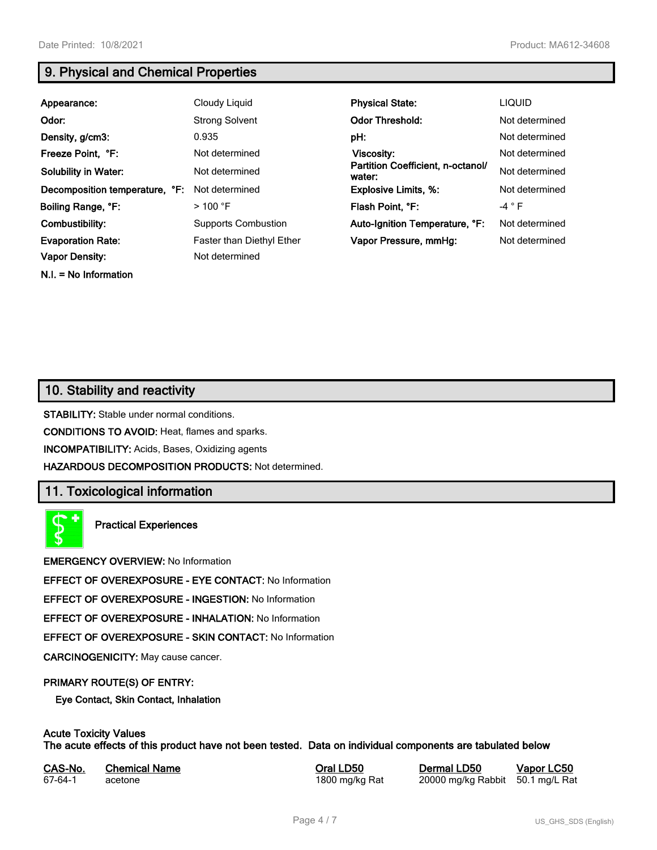**N.I. = No Information**

# **9. Physical and Chemical Properties**

| Appearance:                    | Cloudy Liquid             | <b>Physical State:</b>                      | <b>LIQUID</b>  |
|--------------------------------|---------------------------|---------------------------------------------|----------------|
| Odor:                          | <b>Strong Solvent</b>     | <b>Odor Threshold:</b>                      | Not determined |
| Density, g/cm3:                | 0.935                     | pH:                                         | Not determined |
| Freeze Point, °F:              | Not determined            | Viscosity:                                  | Not determined |
| <b>Solubility in Water:</b>    | Not determined            | Partition Coefficient, n-octanol/<br>water: | Not determined |
| Decomposition temperature, °F: | Not determined            | <b>Explosive Limits, %:</b>                 | Not determined |
| Boiling Range, °F:             | $>100$ °F                 | Flash Point, °F:                            | $-4$ $\circ$ F |
| Combustibility:                | Supports Combustion       | Auto-Ignition Temperature, °F:              | Not determined |
| <b>Evaporation Rate:</b>       | Faster than Diethyl Ether | Vapor Pressure, mmHg:                       | Not determined |
| <b>Vapor Density:</b>          | Not determined            |                                             |                |

# **10. Stability and reactivity**

**STABILITY:** Stable under normal conditions.

**CONDITIONS TO AVOID:** Heat, flames and sparks.

**INCOMPATIBILITY:** Acids, Bases, Oxidizing agents

**HAZARDOUS DECOMPOSITION PRODUCTS:** Not determined.

# **11. Toxicological information**

**Practical Experiences**

**EMERGENCY OVERVIEW:** No Information

**EFFECT OF OVEREXPOSURE - EYE CONTACT:** No Information

**EFFECT OF OVEREXPOSURE - INGESTION:** No Information

**EFFECT OF OVEREXPOSURE - INHALATION:** No Information

**EFFECT OF OVEREXPOSURE - SKIN CONTACT:** No Information

**CARCINOGENICITY:** May cause cancer.

### **PRIMARY ROUTE(S) OF ENTRY:**

**Eye Contact, Skin Contact, Inhalation**

# **Acute Toxicity Values**

**The acute effects of this product have not been tested. Data on individual components are tabulated below**

| CAS-No. | <b>Chemical Name</b> | Ora |
|---------|----------------------|-----|
| 67-64-1 | acetone              | 180 |

**CAS-No. Chemical Name Oral LD50 Dermal LD50 Vapor LC50** 0 mg/kg Rat 20000 mg/kg Rabbit 50.1 mg/L Rat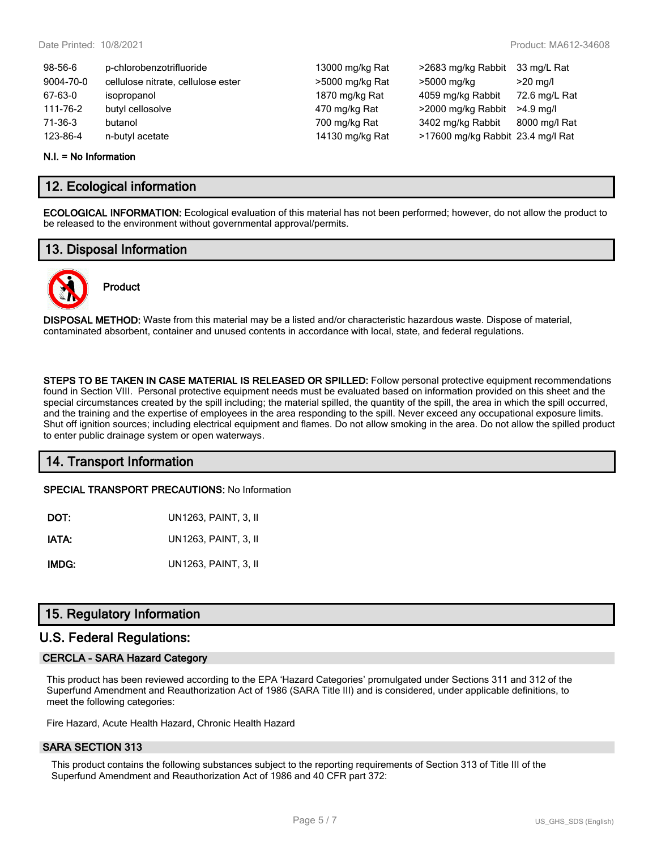| 98-56-6   | p-chlorobenzotrifluoride           | 13000 mg/kg Rat | >2683 mg/kg Rabbit                | 33 mg/L Rat   |
|-----------|------------------------------------|-----------------|-----------------------------------|---------------|
| 9004-70-0 | cellulose nitrate, cellulose ester | >5000 mg/kg Rat | >5000 mg/kg                       | $>20$ mg/l    |
| 67-63-0   | isopropanol                        | 1870 mg/kg Rat  | 4059 mg/kg Rabbit                 | 72.6 mg/L Rat |
| 111-76-2  | butyl cellosolve                   | 470 mg/kg Rat   | >2000 mg/kg Rabbit                | $>4.9$ ma/l   |
| 71-36-3   | butanol                            | 700 mg/kg Rat   | 3402 mg/kg Rabbit                 | 8000 mg/l Rat |
| 123-86-4  | n-butyl acetate                    | 14130 mg/kg Rat | >17600 mg/kg Rabbit 23.4 mg/l Rat |               |
|           |                                    |                 |                                   |               |

#### **N.I. = No Information**

# **12. Ecological information**

**ECOLOGICAL INFORMATION:** Ecological evaluation of this material has not been performed; however, do not allow the product to be released to the environment without governmental approval/permits.

### **13. Disposal Information**



# **Product**

**DISPOSAL METHOD:** Waste from this material may be a listed and/or characteristic hazardous waste. Dispose of material, contaminated absorbent, container and unused contents in accordance with local, state, and federal regulations.

**STEPS TO BE TAKEN IN CASE MATERIAL IS RELEASED OR SPILLED:** Follow personal protective equipment recommendations found in Section VIII. Personal protective equipment needs must be evaluated based on information provided on this sheet and the special circumstances created by the spill including; the material spilled, the quantity of the spill, the area in which the spill occurred, and the training and the expertise of employees in the area responding to the spill. Never exceed any occupational exposure limits. Shut off ignition sources; including electrical equipment and flames. Do not allow smoking in the area. Do not allow the spilled product to enter public drainage system or open waterways.

# **14. Transport Information**

**SPECIAL TRANSPORT PRECAUTIONS:** No Information

| DOT:  | UN1263, PAINT, 3, II |
|-------|----------------------|
| IATA: | UN1263, PAINT, 3, II |
| IMDG: | UN1263, PAINT, 3, II |

# **15. Regulatory Information**

### **U.S. Federal Regulations:**

### **CERCLA - SARA Hazard Category**

This product has been reviewed according to the EPA 'Hazard Categories' promulgated under Sections 311 and 312 of the Superfund Amendment and Reauthorization Act of 1986 (SARA Title III) and is considered, under applicable definitions, to meet the following categories:

Fire Hazard, Acute Health Hazard, Chronic Health Hazard

### **SARA SECTION 313**

This product contains the following substances subject to the reporting requirements of Section 313 of Title III of the Superfund Amendment and Reauthorization Act of 1986 and 40 CFR part 372: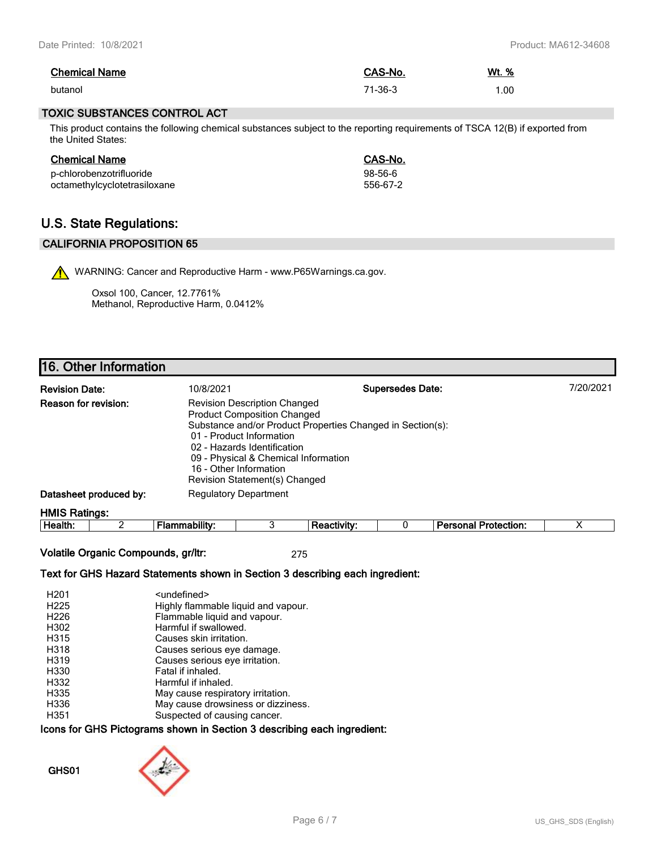| <b>Chemical Name</b> | CAS-No. | Wt. % |
|----------------------|---------|-------|
| butanol              | 71-36-3 | .00   |

### **TOXIC SUBSTANCES CONTROL ACT**

This product contains the following chemical substances subject to the reporting requirements of TSCA 12(B) if exported from the United States:

| <b>Chemical Name</b>         | CAS-No.  |
|------------------------------|----------|
| p-chlorobenzotrifluoride     | 98-56-6  |
| octamethylcyclotetrasiloxane | 556-67-2 |

# **U.S. State Regulations:**

### **CALIFORNIA PROPOSITION 65**

WARNING: Cancer and Reproductive Harm - www.P65Warnings.ca.gov.

Oxsol 100, Cancer, 12.7761% Methanol, Reproductive Harm, 0.0412%

# **16. Other Information**

| <b>Revision Date:</b>  | 10/8/2021                                                                                                                                                                                                                               | <b>Supersedes Date:</b>                                    | 7/20/2021 |
|------------------------|-----------------------------------------------------------------------------------------------------------------------------------------------------------------------------------------------------------------------------------------|------------------------------------------------------------|-----------|
| Reason for revision:   | <b>Revision Description Changed</b><br><b>Product Composition Changed</b><br>01 - Product Information<br>02 - Hazards Identification<br>09 - Physical & Chemical Information<br>16 - Other Information<br>Revision Statement(s) Changed | Substance and/or Product Properties Changed in Section(s): |           |
| Datasheet produced by: | <b>Regulatory Department</b>                                                                                                                                                                                                            |                                                            |           |
| <b>HMIS Ratings:</b>   |                                                                                                                                                                                                                                         |                                                            |           |

**Health:** 2 **Flammability:** 3 **Reactivity:** 0 **Personal Protection:** X

**Volatile Organic Compounds, gr/ltr:** 275

### **Text for GHS Hazard Statements shown in Section 3 describing each ingredient:**

| H <sub>201</sub> | <undefined></undefined>             |
|------------------|-------------------------------------|
| H <sub>225</sub> | Highly flammable liquid and vapour. |
| H <sub>226</sub> | Flammable liquid and vapour.        |
| H302             | Harmful if swallowed.               |
| H315             | Causes skin irritation.             |
| H318             | Causes serious eye damage.          |
| H319             | Causes serious eye irritation.      |
| H330             | Fatal if inhaled.                   |
| H332             | Harmful if inhaled.                 |
| H335             | May cause respiratory irritation.   |
| H336             | May cause drowsiness or dizziness.  |
| H351             | Suspected of causing cancer.        |

### **Icons for GHS Pictograms shown in Section 3 describing each ingredient:**

**GHS01**